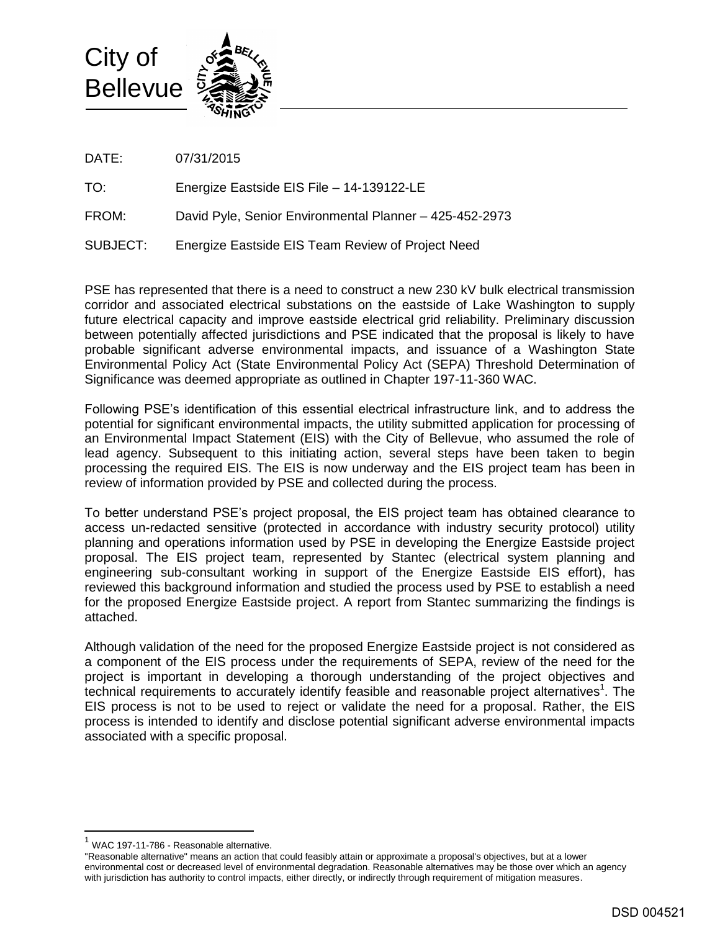

DATE: 07/31/2015

TO: Energize Eastside EIS File – 14-139122-LE

FROM: David Pyle, Senior Environmental Planner – 425-452-2973

SUBJECT: Energize Eastside EIS Team Review of Project Need

PSE has represented that there is a need to construct a new 230 kV bulk electrical transmission corridor and associated electrical substations on the eastside of Lake Washington to supply future electrical capacity and improve eastside electrical grid reliability. Preliminary discussion between potentially affected jurisdictions and PSE indicated that the proposal is likely to have probable significant adverse environmental impacts, and issuance of a Washington State Environmental Policy Act (State Environmental Policy Act (SEPA) Threshold Determination of Significance was deemed appropriate as outlined in Chapter 197-11-360 WAC.

Following PSE's identification of this essential electrical infrastructure link, and to address the potential for significant environmental impacts, the utility submitted application for processing of an Environmental Impact Statement (EIS) with the City of Bellevue, who assumed the role of lead agency. Subsequent to this initiating action, several steps have been taken to begin processing the required EIS. The EIS is now underway and the EIS project team has been in review of information provided by PSE and collected during the process.

To better understand PSE's project proposal, the EIS project team has obtained clearance to access un-redacted sensitive (protected in accordance with industry security protocol) utility planning and operations information used by PSE in developing the Energize Eastside project proposal. The EIS project team, represented by Stantec (electrical system planning and engineering sub-consultant working in support of the Energize Eastside EIS effort), has reviewed this background information and studied the process used by PSE to establish a need for the proposed Energize Eastside project. A report from Stantec summarizing the findings is attached.

Although validation of the need for the proposed Energize Eastside project is not considered as a component of the EIS process under the requirements of SEPA, review of the need for the project is important in developing a thorough understanding of the project objectives and technical requirements to accurately identify feasible and reasonable project alternatives<sup>1</sup>. The EIS process is not to be used to reject or validate the need for a proposal. Rather, the EIS process is intended to identify and disclose potential significant adverse environmental impacts associated with a specific proposal.

 $\overline{a}$ 

 $1$  WAC 197-11-786 - Reasonable alternative.

<sup>&</sup>quot;Reasonable alternative" means an action that could feasibly attain or approximate a proposal's objectives, but at a lower environmental cost or decreased level of environmental degradation. Reasonable alternatives may be those over which an agency with jurisdiction has authority to control impacts, either directly, or indirectly through requirement of mitigation measures.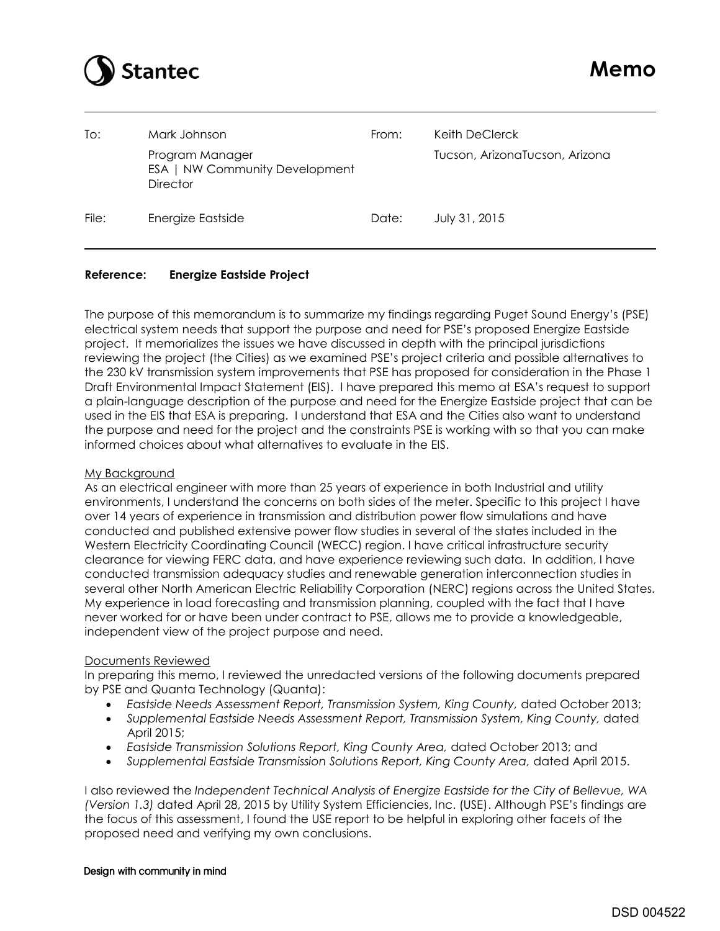

| To:   | Mark Johnson                                                         | From: | Keith DeClerck                 |
|-------|----------------------------------------------------------------------|-------|--------------------------------|
|       | Program Manager<br>ESA   NW Community Development<br><b>Director</b> |       | Tucson, ArizonaTucson, Arizona |
| File: | Energize Eastside                                                    | Date: | July 31, 2015                  |

# **Reference: Energize Eastside Project**

The purpose of this memorandum is to summarize my findings regarding Puget Sound Energy's (PSE) electrical system needs that support the purpose and need for PSE's proposed Energize Eastside project. It memorializes the issues we have discussed in depth with the principal jurisdictions reviewing the project (the Cities) as we examined PSE's project criteria and possible alternatives to the 230 kV transmission system improvements that PSE has proposed for consideration in the Phase 1 Draft Environmental Impact Statement (EIS). I have prepared this memo at ESA's request to support a plain-language description of the purpose and need for the Energize Eastside project that can be used in the EIS that ESA is preparing. I understand that ESA and the Cities also want to understand the purpose and need for the project and the constraints PSE is working with so that you can make informed choices about what alternatives to evaluate in the EIS.

### My Background

As an electrical engineer with more than 25 years of experience in both Industrial and utility environments, I understand the concerns on both sides of the meter. Specific to this project I have over 14 years of experience in transmission and distribution power flow simulations and have conducted and published extensive power flow studies in several of the states included in the Western Electricity Coordinating Council (WECC) region. I have critical infrastructure security clearance for viewing FERC data, and have experience reviewing such data. In addition, I have conducted transmission adequacy studies and renewable generation interconnection studies in several other North American Electric Reliability Corporation (NERC) regions across the United States. My experience in load forecasting and transmission planning, coupled with the fact that I have never worked for or have been under contract to PSE, allows me to provide a knowledgeable, independent view of the project purpose and need.

### Documents Reviewed

In preparing this memo, I reviewed the unredacted versions of the following documents prepared by PSE and Quanta Technology (Quanta):

- *Eastside Needs Assessment Report, Transmission System, King County,* dated October 2013;
- *Supplemental Eastside Needs Assessment Report, Transmission System, King County,* dated April 2015;
- Eastside Transmission Solutions Report, King County Area, dated October 2013; and
- *Supplemental Eastside Transmission Solutions Report, King County Area,* dated April 2015.

I also reviewed the *Independent Technical Analysis of Energize Eastside for the City of Bellevue, WA (Version 1.3)* dated April 28, 2015 by Utility System Efficiencies, Inc. (USE). Although PSE's findings are the focus of this assessment, I found the USE report to be helpful in exploring other facets of the proposed need and verifying my own conclusions.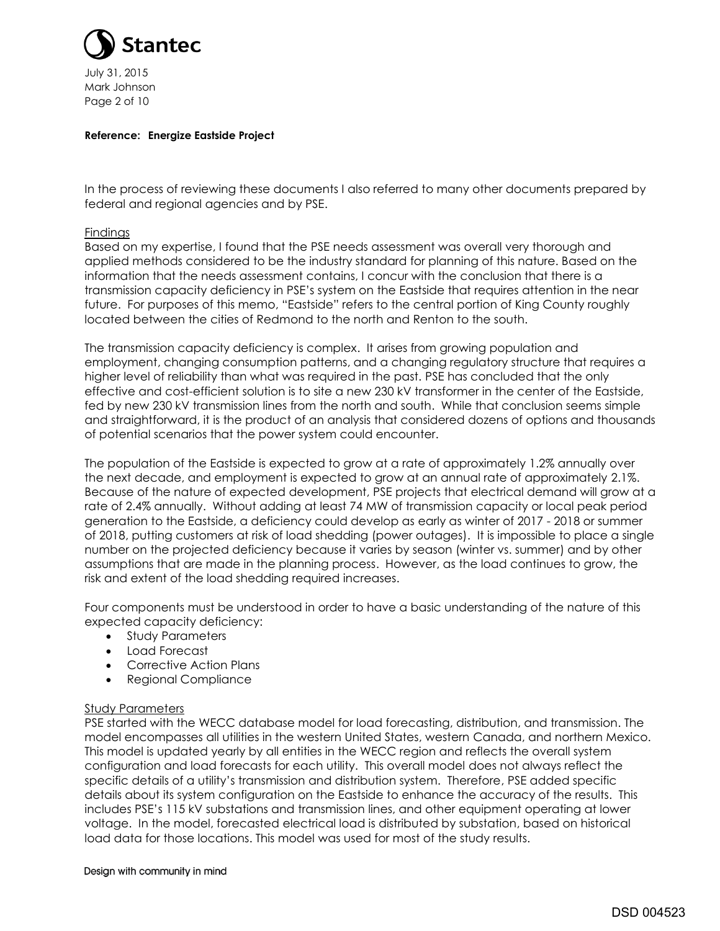

July 31, 2015 Mark Johnson Page 2 of 10

### **Reference: Energize Eastside Project**

In the process of reviewing these documents I also referred to many other documents prepared by federal and regional agencies and by PSE.

### Findings

Based on my expertise, I found that the PSE needs assessment was overall very thorough and applied methods considered to be the industry standard for planning of this nature. Based on the information that the needs assessment contains, I concur with the conclusion that there is a transmission capacity deficiency in PSE's system on the Eastside that requires attention in the near future. For purposes of this memo, "Eastside" refers to the central portion of King County roughly located between the cities of Redmond to the north and Renton to the south.

The transmission capacity deficiency is complex. It arises from growing population and employment, changing consumption patterns, and a changing regulatory structure that requires a higher level of reliability than what was required in the past. PSE has concluded that the only effective and cost-efficient solution is to site a new 230 kV transformer in the center of the Eastside, fed by new 230 kV transmission lines from the north and south. While that conclusion seems simple and straightforward, it is the product of an analysis that considered dozens of options and thousands of potential scenarios that the power system could encounter.

The population of the Eastside is expected to grow at a rate of approximately 1.2% annually over the next decade, and employment is expected to grow at an annual rate of approximately 2.1%. Because of the nature of expected development, PSE projects that electrical demand will grow at a rate of 2.4% annually. Without adding at least 74 MW of transmission capacity or local peak period generation to the Eastside, a deficiency could develop as early as winter of 2017 - 2018 or summer of 2018, putting customers at risk of load shedding (power outages). It is impossible to place a single number on the projected deficiency because it varies by season (winter vs. summer) and by other assumptions that are made in the planning process. However, as the load continues to grow, the risk and extent of the load shedding required increases.

Four components must be understood in order to have a basic understanding of the nature of this expected capacity deficiency:

- Study Parameters
- Load Forecast
- Corrective Action Plans
- Regional Compliance

# Study Parameters

PSE started with the WECC database model for load forecasting, distribution, and transmission. The model encompasses all utilities in the western United States, western Canada, and northern Mexico. This model is updated yearly by all entities in the WECC region and reflects the overall system configuration and load forecasts for each utility. This overall model does not always reflect the specific details of a utility's transmission and distribution system. Therefore, PSE added specific details about its system configuration on the Eastside to enhance the accuracy of the results. This includes PSE's 115 kV substations and transmission lines, and other equipment operating at lower voltage. In the model, forecasted electrical load is distributed by substation, based on historical load data for those locations. This model was used for most of the study results.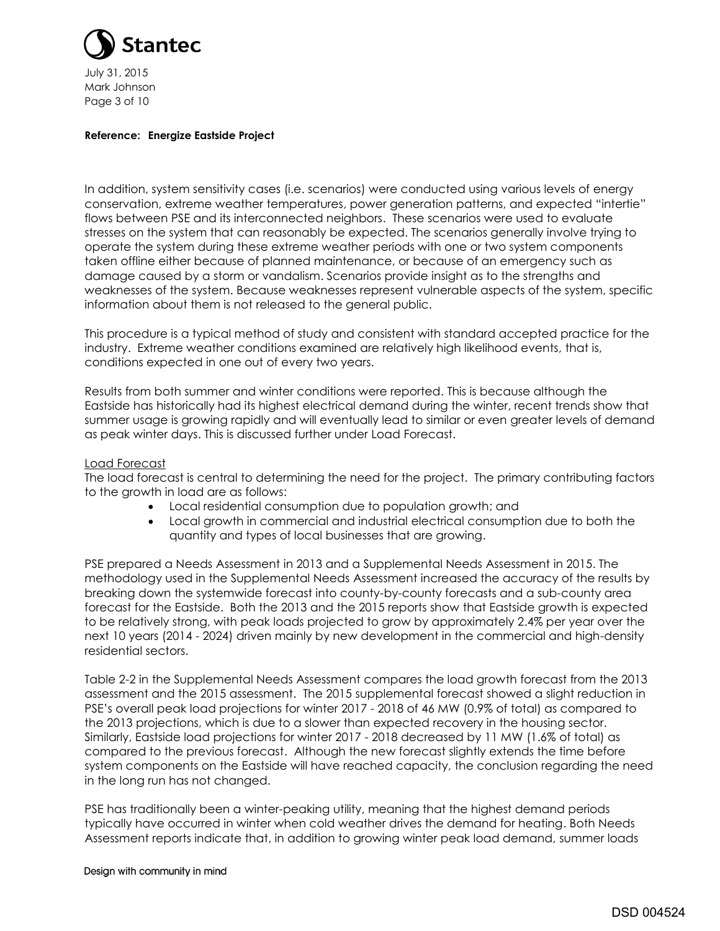

July 31, 2015 Mark Johnson Page 3 of 10

### **Reference: Energize Eastside Project**

In addition, system sensitivity cases (i.e. scenarios) were conducted using various levels of energy conservation, extreme weather temperatures, power generation patterns, and expected "intertie" flows between PSE and its interconnected neighbors. These scenarios were used to evaluate stresses on the system that can reasonably be expected. The scenarios generally involve trying to operate the system during these extreme weather periods with one or two system components taken offline either because of planned maintenance, or because of an emergency such as damage caused by a storm or vandalism. Scenarios provide insight as to the strengths and weaknesses of the system. Because weaknesses represent vulnerable aspects of the system, specific information about them is not released to the general public.

This procedure is a typical method of study and consistent with standard accepted practice for the industry. Extreme weather conditions examined are relatively high likelihood events, that is, conditions expected in one out of every two years.

Results from both summer and winter conditions were reported. This is because although the Eastside has historically had its highest electrical demand during the winter, recent trends show that summer usage is growing rapidly and will eventually lead to similar or even greater levels of demand as peak winter days. This is discussed further under Load Forecast.

# Load Forecast

The load forecast is central to determining the need for the project. The primary contributing factors to the growth in load are as follows:

- Local residential consumption due to population growth; and
- Local growth in commercial and industrial electrical consumption due to both the quantity and types of local businesses that are growing.

PSE prepared a Needs Assessment in 2013 and a Supplemental Needs Assessment in 2015. The methodology used in the Supplemental Needs Assessment increased the accuracy of the results by breaking down the systemwide forecast into county-by-county forecasts and a sub-county area forecast for the Eastside. Both the 2013 and the 2015 reports show that Eastside growth is expected to be relatively strong, with peak loads projected to grow by approximately 2.4% per year over the next 10 years (2014 - 2024) driven mainly by new development in the commercial and high-density residential sectors.

Table 2-2 in the Supplemental Needs Assessment compares the load growth forecast from the 2013 assessment and the 2015 assessment. The 2015 supplemental forecast showed a slight reduction in PSE's overall peak load projections for winter 2017 - 2018 of 46 MW (0.9% of total) as compared to the 2013 projections, which is due to a slower than expected recovery in the housing sector. Similarly, Eastside load projections for winter 2017 - 2018 decreased by 11 MW (1.6% of total) as compared to the previous forecast. Although the new forecast slightly extends the time before system components on the Eastside will have reached capacity, the conclusion regarding the need in the long run has not changed.

PSE has traditionally been a winter-peaking utility, meaning that the highest demand periods typically have occurred in winter when cold weather drives the demand for heating. Both Needs Assessment reports indicate that, in addition to growing winter peak load demand, summer loads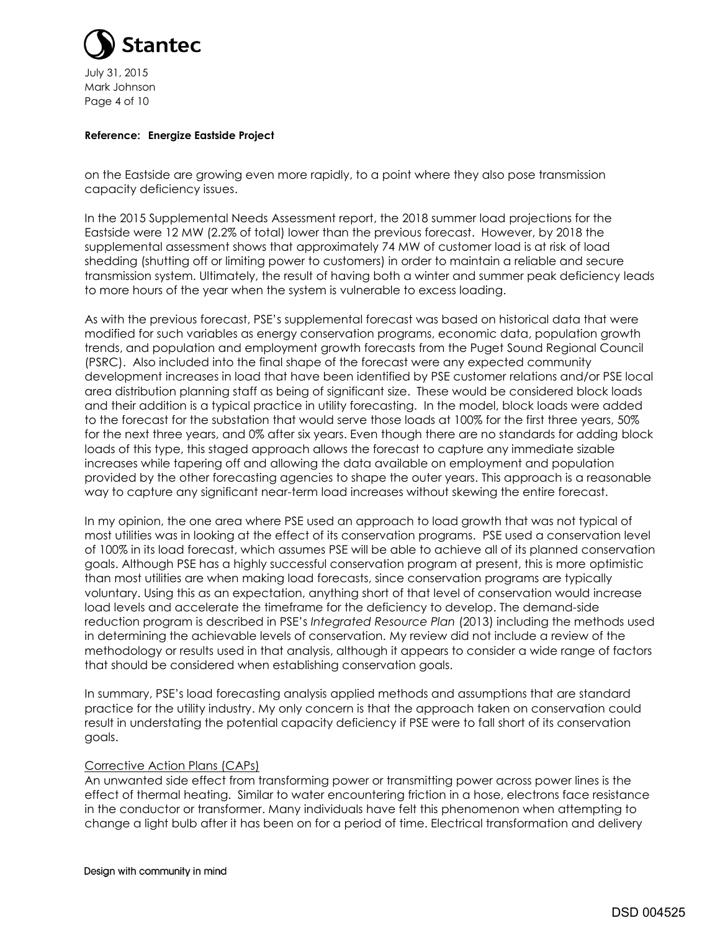

July 31, 2015 Mark Johnson Page 4 of 10

### **Reference: Energize Eastside Project**

on the Eastside are growing even more rapidly, to a point where they also pose transmission capacity deficiency issues.

In the 2015 Supplemental Needs Assessment report, the 2018 summer load projections for the Eastside were 12 MW (2.2% of total) lower than the previous forecast. However, by 2018 the supplemental assessment shows that approximately 74 MW of customer load is at risk of load shedding (shutting off or limiting power to customers) in order to maintain a reliable and secure transmission system. Ultimately, the result of having both a winter and summer peak deficiency leads to more hours of the year when the system is vulnerable to excess loading.

As with the previous forecast, PSE's supplemental forecast was based on historical data that were modified for such variables as energy conservation programs, economic data, population growth trends, and population and employment growth forecasts from the Puget Sound Regional Council (PSRC). Also included into the final shape of the forecast were any expected community development increases in load that have been identified by PSE customer relations and/or PSE local area distribution planning staff as being of significant size. These would be considered block loads and their addition is a typical practice in utility forecasting. In the model, block loads were added to the forecast for the substation that would serve those loads at 100% for the first three years, 50% for the next three years, and 0% after six years. Even though there are no standards for adding block loads of this type, this staged approach allows the forecast to capture any immediate sizable increases while tapering off and allowing the data available on employment and population provided by the other forecasting agencies to shape the outer years. This approach is a reasonable way to capture any significant near-term load increases without skewing the entire forecast.

In my opinion, the one area where PSE used an approach to load growth that was not typical of most utilities was in looking at the effect of its conservation programs. PSE used a conservation level of 100% in its load forecast, which assumes PSE will be able to achieve all of its planned conservation goals. Although PSE has a highly successful conservation program at present, this is more optimistic than most utilities are when making load forecasts, since conservation programs are typically voluntary. Using this as an expectation, anything short of that level of conservation would increase load levels and accelerate the timeframe for the deficiency to develop. The demand-side reduction program is described in PSE's *Integrated Resource Plan* (2013) including the methods used in determining the achievable levels of conservation. My review did not include a review of the methodology or results used in that analysis, although it appears to consider a wide range of factors that should be considered when establishing conservation goals.

In summary, PSE's load forecasting analysis applied methods and assumptions that are standard practice for the utility industry. My only concern is that the approach taken on conservation could result in understating the potential capacity deficiency if PSE were to fall short of its conservation goals.

# Corrective Action Plans (CAPs)

An unwanted side effect from transforming power or transmitting power across power lines is the effect of thermal heating. Similar to water encountering friction in a hose, electrons face resistance in the conductor or transformer. Many individuals have felt this phenomenon when attempting to change a light bulb after it has been on for a period of time. Electrical transformation and delivery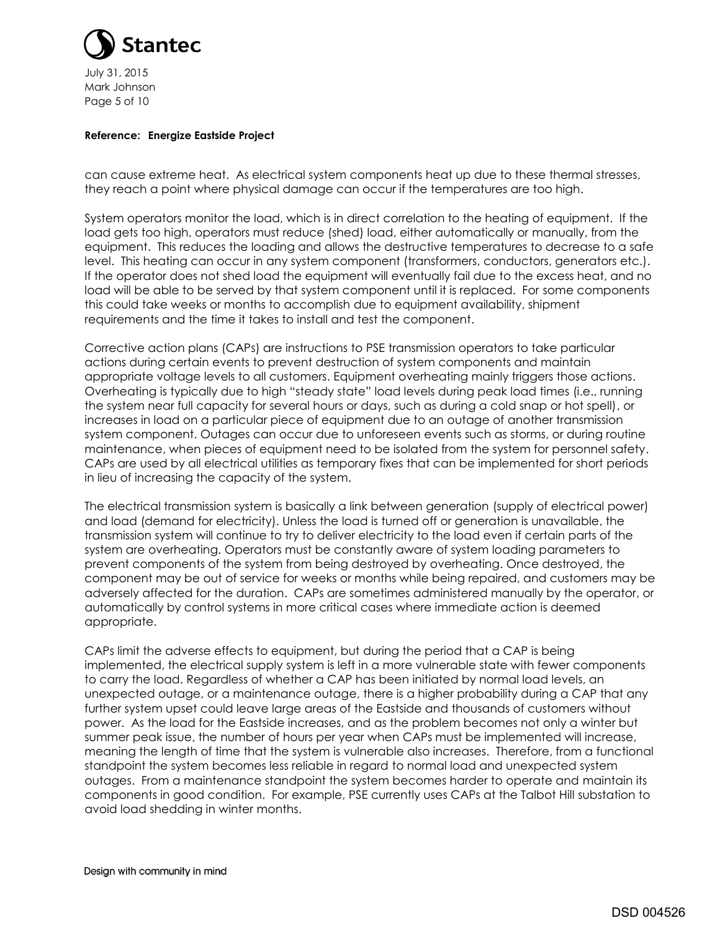

July 31, 2015 Mark Johnson Page 5 of 10

### **Reference: Energize Eastside Project**

can cause extreme heat. As electrical system components heat up due to these thermal stresses, they reach a point where physical damage can occur if the temperatures are too high.

System operators monitor the load, which is in direct correlation to the heating of equipment. If the load gets too high, operators must reduce (shed) load, either automatically or manually, from the equipment. This reduces the loading and allows the destructive temperatures to decrease to a safe level. This heating can occur in any system component (transformers, conductors, generators etc.). If the operator does not shed load the equipment will eventually fail due to the excess heat, and no load will be able to be served by that system component until it is replaced. For some components this could take weeks or months to accomplish due to equipment availability, shipment requirements and the time it takes to install and test the component.

Corrective action plans (CAPs) are instructions to PSE transmission operators to take particular actions during certain events to prevent destruction of system components and maintain appropriate voltage levels to all customers. Equipment overheating mainly triggers those actions. Overheating is typically due to high "steady state" load levels during peak load times (i.e., running the system near full capacity for several hours or days, such as during a cold snap or hot spell), or increases in load on a particular piece of equipment due to an outage of another transmission system component. Outages can occur due to unforeseen events such as storms, or during routine maintenance, when pieces of equipment need to be isolated from the system for personnel safety. CAPs are used by all electrical utilities as temporary fixes that can be implemented for short periods in lieu of increasing the capacity of the system.

The electrical transmission system is basically a link between generation (supply of electrical power) and load (demand for electricity). Unless the load is turned off or generation is unavailable, the transmission system will continue to try to deliver electricity to the load even if certain parts of the system are overheating. Operators must be constantly aware of system loading parameters to prevent components of the system from being destroyed by overheating. Once destroyed, the component may be out of service for weeks or months while being repaired, and customers may be adversely affected for the duration. CAPs are sometimes administered manually by the operator, or automatically by control systems in more critical cases where immediate action is deemed appropriate.

CAPs limit the adverse effects to equipment, but during the period that a CAP is being implemented, the electrical supply system is left in a more vulnerable state with fewer components to carry the load. Regardless of whether a CAP has been initiated by normal load levels, an unexpected outage, or a maintenance outage, there is a higher probability during a CAP that any further system upset could leave large areas of the Eastside and thousands of customers without power. As the load for the Eastside increases, and as the problem becomes not only a winter but summer peak issue, the number of hours per year when CAPs must be implemented will increase, meaning the length of time that the system is vulnerable also increases. Therefore, from a functional standpoint the system becomes less reliable in regard to normal load and unexpected system outages. From a maintenance standpoint the system becomes harder to operate and maintain its components in good condition. For example, PSE currently uses CAPs at the Talbot Hill substation to avoid load shedding in winter months.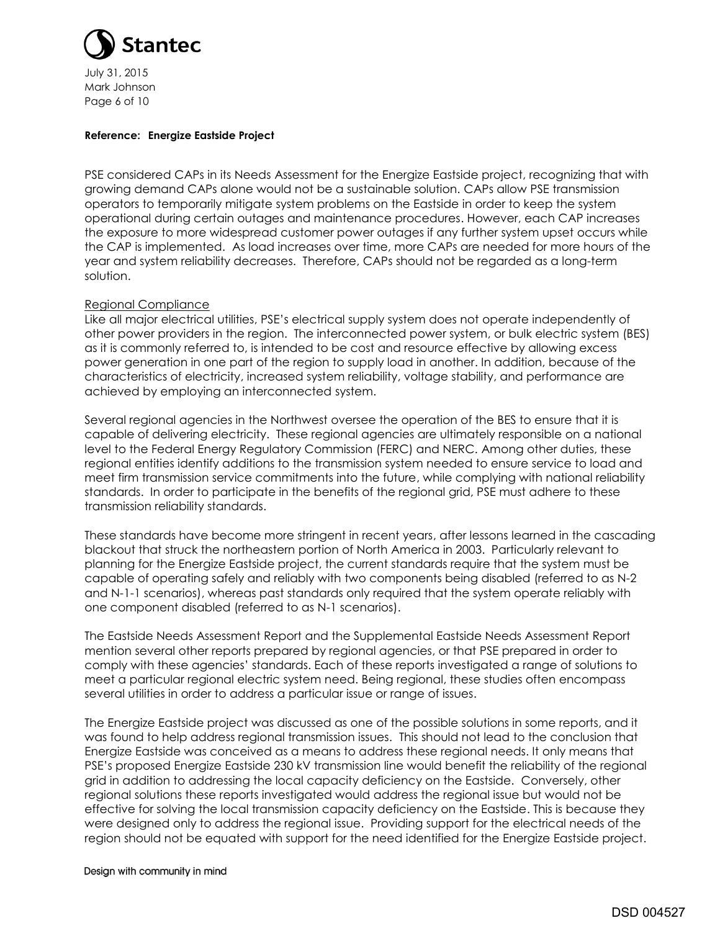

July 31, 2015 Mark Johnson Page 6 of 10

### **Reference: Energize Eastside Project**

PSE considered CAPs in its Needs Assessment for the Energize Eastside project, recognizing that with growing demand CAPs alone would not be a sustainable solution. CAPs allow PSE transmission operators to temporarily mitigate system problems on the Eastside in order to keep the system operational during certain outages and maintenance procedures. However, each CAP increases the exposure to more widespread customer power outages if any further system upset occurs while the CAP is implemented. As load increases over time, more CAPs are needed for more hours of the year and system reliability decreases. Therefore, CAPs should not be regarded as a long-term solution.

### Regional Compliance

Like all major electrical utilities, PSE's electrical supply system does not operate independently of other power providers in the region. The interconnected power system, or bulk electric system (BES) as it is commonly referred to, is intended to be cost and resource effective by allowing excess power generation in one part of the region to supply load in another. In addition, because of the characteristics of electricity, increased system reliability, voltage stability, and performance are achieved by employing an interconnected system.

Several regional agencies in the Northwest oversee the operation of the BES to ensure that it is capable of delivering electricity. These regional agencies are ultimately responsible on a national level to the Federal Energy Regulatory Commission (FERC) and NERC. Among other duties, these regional entities identify additions to the transmission system needed to ensure service to load and meet firm transmission service commitments into the future, while complying with national reliability standards. In order to participate in the benefits of the regional grid, PSE must adhere to these transmission reliability standards.

These standards have become more stringent in recent years, after lessons learned in the cascading blackout that struck the northeastern portion of North America in 2003. Particularly relevant to planning for the Energize Eastside project, the current standards require that the system must be capable of operating safely and reliably with two components being disabled (referred to as N-2 and N-1-1 scenarios), whereas past standards only required that the system operate reliably with one component disabled (referred to as N-1 scenarios).

The Eastside Needs Assessment Report and the Supplemental Eastside Needs Assessment Report mention several other reports prepared by regional agencies, or that PSE prepared in order to comply with these agencies' standards. Each of these reports investigated a range of solutions to meet a particular regional electric system need. Being regional, these studies often encompass several utilities in order to address a particular issue or range of issues.

The Energize Eastside project was discussed as one of the possible solutions in some reports, and it was found to help address regional transmission issues. This should not lead to the conclusion that Energize Eastside was conceived as a means to address these regional needs. It only means that PSE's proposed Energize Eastside 230 kV transmission line would benefit the reliability of the regional grid in addition to addressing the local capacity deficiency on the Eastside. Conversely, other regional solutions these reports investigated would address the regional issue but would not be effective for solving the local transmission capacity deficiency on the Eastside. This is because they were designed only to address the regional issue. Providing support for the electrical needs of the region should not be equated with support for the need identified for the Energize Eastside project.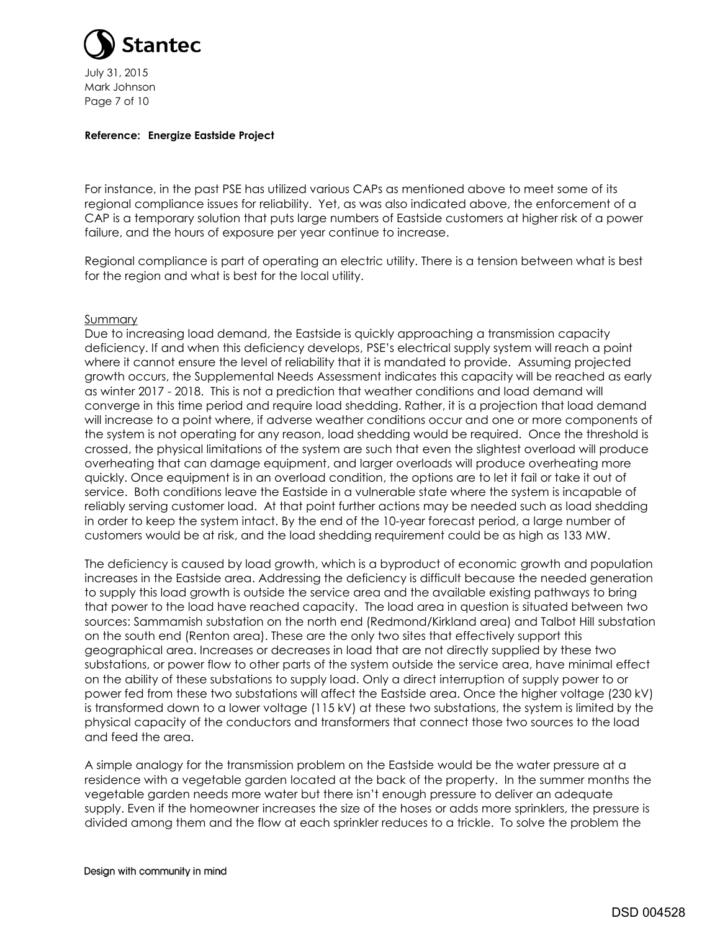

July 31, 2015 Mark Johnson Page 7 of 10

#### **Reference: Energize Eastside Project**

For instance, in the past PSE has utilized various CAPs as mentioned above to meet some of its regional compliance issues for reliability. Yet, as was also indicated above, the enforcement of a CAP is a temporary solution that puts large numbers of Eastside customers at higher risk of a power failure, and the hours of exposure per year continue to increase.

Regional compliance is part of operating an electric utility. There is a tension between what is best for the region and what is best for the local utility.

### Summary

Due to increasing load demand, the Eastside is quickly approaching a transmission capacity deficiency. If and when this deficiency develops, PSE's electrical supply system will reach a point where it cannot ensure the level of reliability that it is mandated to provide. Assuming projected growth occurs, the Supplemental Needs Assessment indicates this capacity will be reached as early as winter 2017 - 2018. This is not a prediction that weather conditions and load demand will converge in this time period and require load shedding. Rather, it is a projection that load demand will increase to a point where, if adverse weather conditions occur and one or more components of the system is not operating for any reason, load shedding would be required. Once the threshold is crossed, the physical limitations of the system are such that even the slightest overload will produce overheating that can damage equipment, and larger overloads will produce overheating more quickly. Once equipment is in an overload condition, the options are to let it fail or take it out of service. Both conditions leave the Eastside in a vulnerable state where the system is incapable of reliably serving customer load. At that point further actions may be needed such as load shedding in order to keep the system intact. By the end of the 10-year forecast period, a large number of customers would be at risk, and the load shedding requirement could be as high as 133 MW.

The deficiency is caused by load growth, which is a byproduct of economic growth and population increases in the Eastside area. Addressing the deficiency is difficult because the needed generation to supply this load growth is outside the service area and the available existing pathways to bring that power to the load have reached capacity. The load area in question is situated between two sources: Sammamish substation on the north end (Redmond/Kirkland area) and Talbot Hill substation on the south end (Renton area). These are the only two sites that effectively support this geographical area. Increases or decreases in load that are not directly supplied by these two substations, or power flow to other parts of the system outside the service area, have minimal effect on the ability of these substations to supply load. Only a direct interruption of supply power to or power fed from these two substations will affect the Eastside area. Once the higher voltage (230 kV) is transformed down to a lower voltage (115 kV) at these two substations, the system is limited by the physical capacity of the conductors and transformers that connect those two sources to the load and feed the area.

A simple analogy for the transmission problem on the Eastside would be the water pressure at a residence with a vegetable garden located at the back of the property. In the summer months the vegetable garden needs more water but there isn't enough pressure to deliver an adequate supply. Even if the homeowner increases the size of the hoses or adds more sprinklers, the pressure is divided among them and the flow at each sprinkler reduces to a trickle. To solve the problem the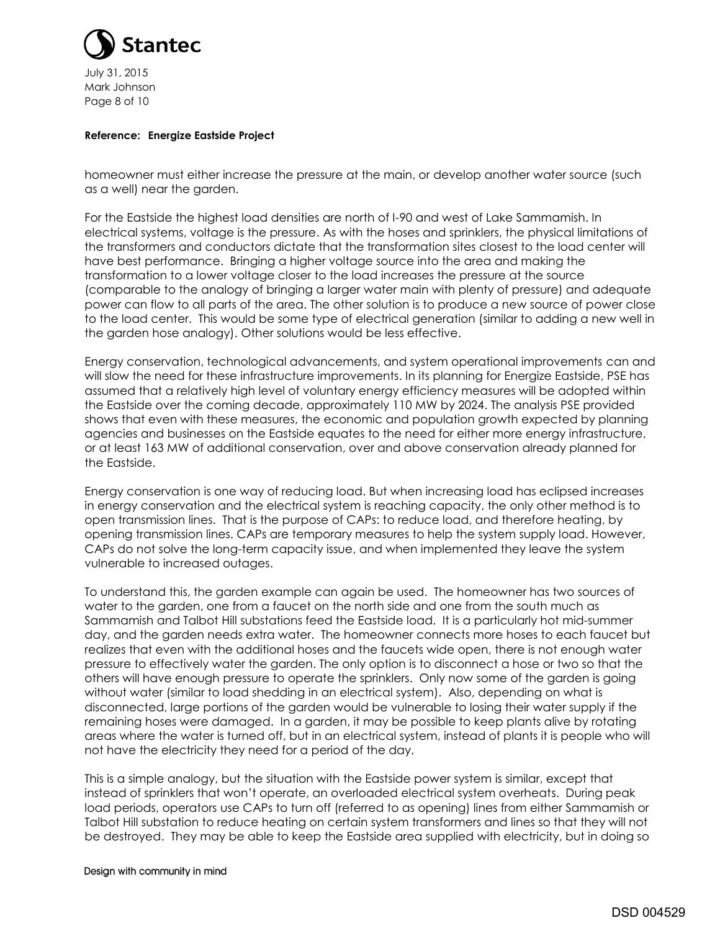

July 31, 2015 Mark Johnson Page 8 of 10

### **Reference: Energize Eastside Project**

homeowner must either increase the pressure at the main, or develop another water source (such as a well) near the garden.

For the Eastside the highest load densities are north of I-90 and west of Lake Sammamish. In electrical systems, voltage is the pressure. As with the hoses and sprinklers, the physical limitations of the transformers and conductors dictate that the transformation sites closest to the load center will have best performance. Bringing a higher voltage source into the area and making the transformation to a lower voltage closer to the load increases the pressure at the source (comparable to the analogy of bringing a larger water main with plenty of pressure) and adequate power can flow to all parts of the area. The other solution is to produce a new source of power close to the load center. This would be some type of electrical generation (similar to adding a new well in the garden hose analogy). Other solutions would be less effective.

Energy conservation, technological advancements, and system operational improvements can and will slow the need for these infrastructure improvements. In its planning for Energize Eastside, PSE has assumed that a relatively high level of voluntary energy efficiency measures will be adopted within the Eastside over the coming decade, approximately 110 MW by 2024. The analysis PSE provided shows that even with these measures, the economic and population growth expected by planning agencies and businesses on the Eastside equates to the need for either more energy infrastructure, or at least 163 MW of additional conservation, over and above conservation already planned for the Eastside.

Energy conservation is one way of reducing load. But when increasing load has eclipsed increases in energy conservation and the electrical system is reaching capacity, the only other method is to open transmission lines. That is the purpose of CAPs: to reduce load, and therefore heating, by opening transmission lines. CAPs are temporary measures to help the system supply load. However, CAPs do not solve the long-term capacity issue, and when implemented they leave the system vulnerable to increased outages.

To understand this, the garden example can again be used. The homeowner has two sources of water to the garden, one from a faucet on the north side and one from the south much as Sammamish and Talbot Hill substations feed the Eastside load. It is a particularly hot mid-summer day, and the garden needs extra water. The homeowner connects more hoses to each faucet but realizes that even with the additional hoses and the faucets wide open, there is not enough water pressure to effectively water the garden. The only option is to disconnect a hose or two so that the others will have enough pressure to operate the sprinklers. Only now some of the garden is going without water (similar to load shedding in an electrical system). Also, depending on what is disconnected, large portions of the garden would be vulnerable to losing their water supply if the remaining hoses were damaged. In a garden, it may be possible to keep plants alive by rotating areas where the water is turned off, but in an electrical system, instead of plants it is people who will not have the electricity they need for a period of the day.

This is a simple analogy, but the situation with the Eastside power system is similar, except that instead of sprinklers that won't operate, an overloaded electrical system overheats. During peak load periods, operators use CAPs to turn off (referred to as opening) lines from either Sammamish or Talbot Hill substation to reduce heating on certain system transformers and lines so that they will not be destroyed. They may be able to keep the Eastside area supplied with electricity, but in doing so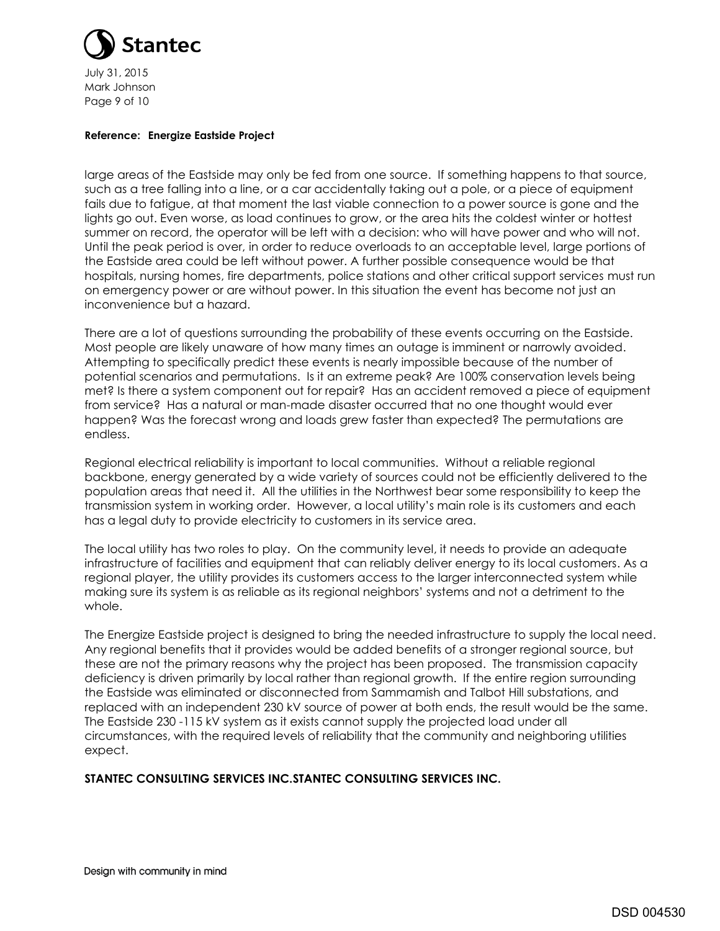

July 31, 2015 Mark Johnson Page 9 of 10

### **Reference: Energize Eastside Project**

large areas of the Eastside may only be fed from one source. If something happens to that source, such as a tree falling into a line, or a car accidentally taking out a pole, or a piece of equipment fails due to fatigue, at that moment the last viable connection to a power source is gone and the lights go out. Even worse, as load continues to grow, or the area hits the coldest winter or hottest summer on record, the operator will be left with a decision: who will have power and who will not. Until the peak period is over, in order to reduce overloads to an acceptable level, large portions of the Eastside area could be left without power. A further possible consequence would be that hospitals, nursing homes, fire departments, police stations and other critical support services must run on emergency power or are without power. In this situation the event has become not just an inconvenience but a hazard.

There are a lot of questions surrounding the probability of these events occurring on the Eastside. Most people are likely unaware of how many times an outage is imminent or narrowly avoided. Attempting to specifically predict these events is nearly impossible because of the number of potential scenarios and permutations. Is it an extreme peak? Are 100% conservation levels being met? Is there a system component out for repair? Has an accident removed a piece of equipment from service? Has a natural or man-made disaster occurred that no one thought would ever happen? Was the forecast wrong and loads grew faster than expected? The permutations are endless.

Regional electrical reliability is important to local communities. Without a reliable regional backbone, energy generated by a wide variety of sources could not be efficiently delivered to the population areas that need it. All the utilities in the Northwest bear some responsibility to keep the transmission system in working order. However, a local utility's main role is its customers and each has a legal duty to provide electricity to customers in its service area.

The local utility has two roles to play. On the community level, it needs to provide an adequate infrastructure of facilities and equipment that can reliably deliver energy to its local customers. As a regional player, the utility provides its customers access to the larger interconnected system while making sure its system is as reliable as its regional neighbors' systems and not a detriment to the whole.

The Energize Eastside project is designed to bring the needed infrastructure to supply the local need. Any regional benefits that it provides would be added benefits of a stronger regional source, but these are not the primary reasons why the project has been proposed. The transmission capacity deficiency is driven primarily by local rather than regional growth. If the entire region surrounding the Eastside was eliminated or disconnected from Sammamish and Talbot Hill substations, and replaced with an independent 230 kV source of power at both ends, the result would be the same. The Eastside 230 -115 kV system as it exists cannot supply the projected load under all circumstances, with the required levels of reliability that the community and neighboring utilities expect.

# **STANTEC CONSULTING SERVICES INC.STANTEC CONSULTING SERVICES INC.**